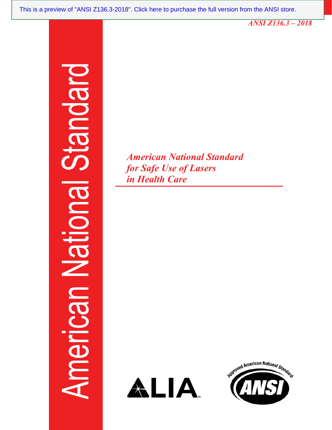*ANSI Z136.3 - 2018* 

## Indard suc meric

*American National Standard <i><u>for Safe Use of Lasers</u> LA* Health Care



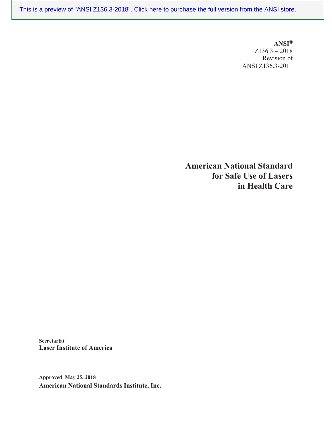$ANSI^®$  $Z136.3 - 2018$ Revision of ANSI Z136.3-2011

**American National Standard ISON Safe Use of Lasers Lating Health Care** 

**Secretariat Laser Institute of America** 

**Approved May 25, 2018 American National Standards Institute, Inc.**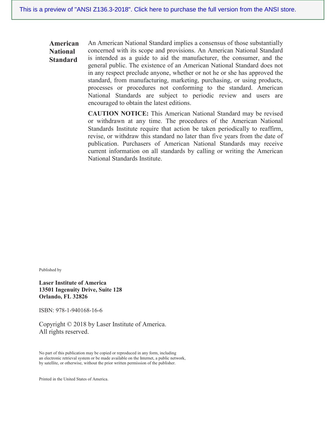An American National Standard implies a consensus of those substantially American concerned with its scope and provisions. An American National Standard **National** is intended as a guide to aid the manufacturer, the consumer, and the **Standard** general public. The existence of an American National Standard does not in any respect preclude anyone, whether or not he or she has approved the standard, from manufacturing, marketing, purchasing, or using products, processes or procedures not conforming to the standard. American National Standards are subject to periodic review and users are encouraged to obtain the latest editions.

> **CAUTION NOTICE:** This American National Standard may be revised or withdrawn at any time. The procedures of the American National Standards Institute require that action be taken periodically to reaffirm, revise, or withdraw this standard no later than five years from the date of publication. Purchasers of American National Standards may receive current information on all standards by calling or writing the American National Standards Institute.

Published by

**Laser Institute of America** 13501 Ingenuity Drive, Suite 128 Orlando, FL 32826

ISBN: 978-1-940168-16-6

Copyright © 2018 by Laser Institute of America. All rights reserved.

No part of this publication may be copied or reproduced in any form, including an electronic retrieval system or be made available on the Internet, a public network, by satellite, or otherwise, without the prior written permission of the publisher.

Printed in the United States of America.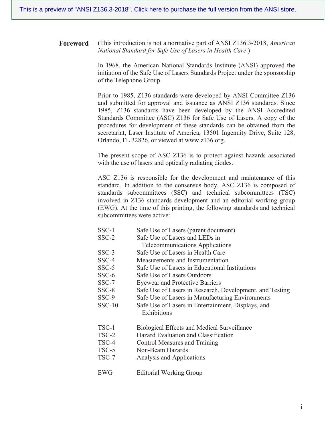**Foreword** (This introduction is not a normative part of ANSI Z136.3-2018, *American* National Standard for Safe Use of Lasers in Health Care.)

> In 1968, the American National Standards Institute (ANSI) approved the initiation of the Safe Use of Lasers Standards Project under the sponsorship of the Telephone Group.

> Prior to 1985, Z136 standards were developed by ANSI Committee Z136 and submitted for approval and issuance as ANSI Z136 standards. Since 1985, Z136 standards have been developed by the ANSI Accredited Standards Committee (ASC) Z136 for Safe Use of Lasers. A copy of the procedures for development of these standards can be obtained from the secretariat, Laser Institute of America, 13501 Ingenuity Drive, Suite 128, Orlando, FL 32826, or viewed at www.z136.org.

> The present scope of ASC Z136 is to protect against hazards associated with the use of lasers and optically radiating diodes.

> ASC Z136 is responsible for the development and maintenance of this standard. In addition to the consensus body, ASC Z136 is composed of standards subcommittees (SSC) and technical subcommittees (TSC) involved in Z136 standards development and an editorial working group (EWG). At the time of this printing, the following standards and technical subcommittees were active:

- $SSC-1$ Safe Use of Lasers (parent document)
- Safe Use of Lasers and LEDs in  $SSC-2$ 
	- **Telecommunications Applications**
- $SSC-3$ Safe Use of Lasers in Health Care
- $SSC-4$ Measurements and Instrumentation
- Safe Use of Lasers in Educational Institutions  $SSC-5$
- $SSC-6$ Safe Use of Lasers Outdoors
- $SSC-7$ **Eyewear and Protective Barriers**
- $SSC-8$ Safe Use of Lasers in Research, Development, and Testing
- SSC-9 Safe Use of Lasers in Manufacturing Environments
- Safe Use of Lasers in Entertainment, Displays, and  $SSC-10$ Exhibitions
- TSC-1 **Biological Effects and Medical Surveillance**
- $TSC-2$ Hazard Evaluation and Classification
- TSC-4 **Control Measures and Training**
- TSC-5 Non-Beam Hazards
- TSC-7 Analysis and Applications
- **EWG Editorial Working Group**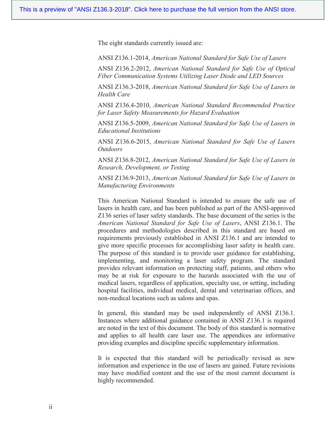The eight standards currently issued are:

ANSI Z136.1-2014, American National Standard for Safe Use of Lasers

ANSI Z136.2-2012, American National Standard for Safe Use of Optical *Fiber Communication Systems Utilizing Laser Diode and LED Sources* 

ANSI Z136.3-2018, American National Standard for Safe Use of Lasers in *Health Care* 

ANSI Z136.4-2010, American National Standard Recommended Practice *for Laser Safety Measurements for Hazard Evaluation* 

ANSI Z136.5-2009, American National Standard for Safe Use of Lasers in  $Educational$ *Institutions* 

ANSI Z136.6-2015, American National Standard for Safe Use of Lasers *<u>Outdoors</u>* 

ANSI Z136.8-2012, American National Standard for Safe Use of Lasers in *Research, Development, or Testing* 

ANSI Z136.9-2013, American National Standard for Safe Use of Lasers in *Manufacturing Environments* 

This American National Standard is intended to ensure the safe use of lasers in health care, and has been published as part of the ANSI-approved Z136 series of laser safety standards. The base document of the series is the *American National Standard for Safe Use of Lasers, ANSI Z136.1. The* procedures and methodologies described in this standard are based on requirements previously established in ANSI Z136.1 and are intended to give more specific processes for accomplishing laser safety in health care. The purpose of this standard is to provide user guidance for establishing, implementing, and monitoring a laser safety program. The standard provides relevant information on protecting staff, patients, and others who may be at risk for exposure to the hazards associated with the use of medical lasers, regardless of application, specialty use, or setting, including hospital facilities, individual medical, dental and veterinarian offices, and non-medical locations such as salons and spas.

In general, this standard may be used independently of ANSI Z136.1. Instances where additional guidance contained in ANSI Z136.1 is required are noted in the text of this document. The body of this standard is normative and applies to all health care laser use. The appendices are informative providing examples and discipline specific supplementary information.

It is expected that this standard will be periodically revised as new information and experience in the use of lasers are gained. Future revisions may have modified content and the use of the most current document is highly recommended.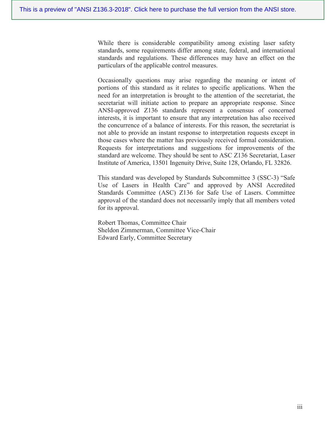While there is considerable compatibility among existing laser safety standards, some requirements differ among state, federal, and international standards and regulations. These differences may have an effect on the particulars of the applicable control measures.

Occasionally questions may arise regarding the meaning or intent of portions of this standard as it relates to specific applications. When the need for an interpretation is brought to the attention of the secretariat, the secretariat will initiate action to prepare an appropriate response. Since ANSI-approved Z136 standards represent a consensus of concerned interests, it is important to ensure that any interpretation has also received the concurrence of a balance of interests. For this reason, the secretariat is not able to provide an instant response to interpretation requests except in those cases where the matter has previously received formal consideration. Requests for interpretations and suggestions for improvements of the standard are welcome. They should be sent to ASC Z136 Secretariat, Laser Institute of America, 13501 Ingenuity Drive, Suite 128, Orlando, FL 32826.

This standard was developed by Standards Subcommittee 3 (SSC-3) "Safe Use of Lasers in Health Care" and approved by ANSI Accredited Standards Committee (ASC) Z136 for Safe Use of Lasers. Committee approval of the standard does not necessarily imply that all members voted for its approval.

Robert Thomas, Committee Chair Sheldon Zimmerman, Committee Vice-Chair **Edward Early, Committee Secretary**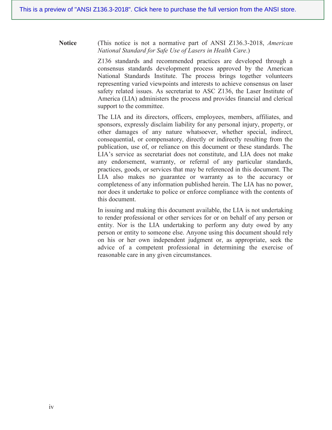**Notice** (This notice is not a normative part of ANSI Z136.3-2018, American National Standard for Safe Use of Lasers in Health Care.)

> Z136 standards and recommended practices are developed through a consensus standards development process approved by the American National Standards Institute. The process brings together volunteers representing varied viewpoints and interests to achieve consensus on laser safety related issues. As secretariat to ASC Z136, the Laser Institute of America (LIA) administers the process and provides financial and clerical support to the committee.

> The LIA and its directors, officers, employees, members, affiliates, and sponsors, expressly disclaim liability for any personal injury, property, or other damages of any nature whatsoever, whether special, indirect, consequential, or compensatory, directly or indirectly resulting from the publication, use of, or reliance on this document or these standards. The LIA's service as secretariat does not constitute, and LIA does not make any endorsement, warranty, or referral of any particular standards, practices, goods, or services that may be referenced in this document. The LIA also makes no guarantee or warranty as to the accuracy or completeness of any information published herein. The LIA has no power, nor does it undertake to police or enforce compliance with the contents of this document.

> In issuing and making this document available, the LIA is not undertaking to render professional or other services for or on behalf of any person or entity. Nor is the LIA undertaking to perform any duty owed by any person or entity to someone else. Anyone using this document should rely on his or her own independent judgment or, as appropriate, seek the advice of a competent professional in determining the exercise of reasonable care in any given circumstances.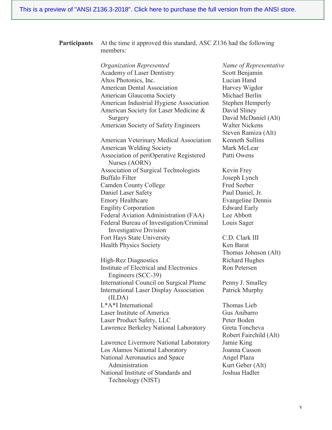| <b>Participants</b> | At the time it approved this standard, ASC Z136 had the following<br>members:     |                                              |
|---------------------|-----------------------------------------------------------------------------------|----------------------------------------------|
|                     | <b>Organization Represented</b>                                                   | Name of Representative                       |
|                     | <b>Academy of Laser Dentistry</b>                                                 | Scott Benjamin                               |
|                     | Altos Photonics, Inc.                                                             | Lucian Hand                                  |
|                     | <b>American Dental Association</b>                                                | Harvey Wigdor                                |
|                     | American Glaucoma Society                                                         | Michael Berlin                               |
|                     | American Industrial Hygiene Association                                           | Stephen Hemperly                             |
|                     | American Society for Laser Medicine &<br>Surgery                                  | David Sliney<br>David McDaniel (Alt)         |
|                     | <b>American Society of Safety Engineers</b>                                       | <b>Walter Nickens</b><br>Steven Ramiza (Alt) |
|                     | <b>American Veterinary Medical Association</b><br><b>American Welding Society</b> | Kenneth Sullins<br>Mark McLear               |
|                     | Association of periOperative Registered<br>Nurses (AORN)                          | Patti Owens                                  |
|                     | Association of Surgical Technologists                                             | Kevin Frey                                   |
|                     | <b>Buffalo Filter</b>                                                             | Joseph Lynch                                 |
|                     | <b>Camden County College</b>                                                      | Fred Seeber                                  |
|                     | Daniel Laser Safety                                                               | Paul Daniel, Jr.                             |
|                     | <b>Emory Healthcare</b>                                                           | <b>Evangeline Dennis</b>                     |
|                     | <b>Engility Corporation</b>                                                       | <b>Edward Early</b>                          |
|                     | Federal Aviation Administration (FAA)                                             | Lee Abbott                                   |
|                     | Federal Bureau of Investigation/Criminal<br><b>Investigative Division</b>         | Louis Sager                                  |
|                     | Fort Hays State University                                                        | C.D. Clark III                               |
|                     | <b>Health Physics Society</b>                                                     | Ken Barat                                    |
|                     |                                                                                   | Thomas Johnson (Alt)                         |
|                     | High-Rez Diagnostics                                                              | <b>Richard Hughes</b>                        |
|                     | Institute of Electrical and Electronics<br>Engineers (SCC-39)                     | Ron Petersen                                 |
|                     | International Council on Surgical Plume                                           | Penny J. Smalley                             |
|                     | <b>International Laser Display Association</b><br>(ILDA)                          | Patrick Murphy                               |
|                     | L*A*I International                                                               | <b>Thomas Lieb</b>                           |
|                     | Laser Institute of America                                                        | Gus Anibarro                                 |
|                     | Laser Product Safety, LLC                                                         | Peter Boden                                  |
|                     | Lawrence Berkeley National Laboratory                                             | Greta Toncheva                               |
|                     |                                                                                   | Robert Fairchild (Alt)                       |
|                     | Lawrence Livermore National Laboratory                                            | Jamie King                                   |
|                     | Los Alamos National Laboratory                                                    | Joanna Casson                                |
|                     | National Aeronautics and Space                                                    | Angel Plaza                                  |
|                     | Administration                                                                    | Kurt Geber (Alt)                             |
|                     | National Institute of Standards and                                               | Joshua Hadler                                |

Technology (NIST)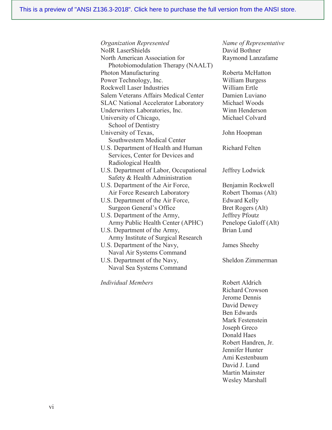Organization Represented **NoIR** LaserShields North American Association for Photobiomodulation Therapy (NAALT) Photon Manufacturing Power Technology, Inc. **Rockwell Laser Industries** Salem Veterans Affairs Medical Center **SLAC National Accelerator Laboratory** Underwriters Laboratories, Inc. University of Chicago, School of Dentistry University of Texas, Southwestern Medical Center U.S. Department of Health and Human Services, Center for Devices and Radiological Health U.S. Department of Labor, Occupational Safety & Health Administration U.S. Department of the Air Force, Air Force Research Laboratory U.S. Department of the Air Force, Surgeon General's Office U.S. Department of the Army, Army Public Health Center (APHC) U.S. Department of the Army, Army Institute of Surgical Research U.S. Department of the Navy, Naval Air Systems Command U.S. Department of the Navy, Naval Sea Systems Command

Individual Members

Name of Representative David Bothner Raymond Lanzafame

Roberta McHatton **William Burgess** William Ertle Damien Luviano Michael Woods Winn Henderson Michael Colvard

John Hoopman

Richard Felten

Jeffrey Lodwick

Benjamin Rockwell Robert Thomas (Alt) **Edward Kelly** Bret Rogers (Alt) Jeffrey Pfoutz Penelope Galoff (Alt) **Brian Lund** 

James Sheehy

Sheldon Zimmerman

Robert Aldrich Richard Crowson Jerome Dennis David Dewey **Ben Edwards** Mark Festenstein Joseph Greco Donald Haes Robert Handren, Jr. Jennifer Hunter Ami Kestenbaum David J. Lund **Martin Mainster Wesley Marshall**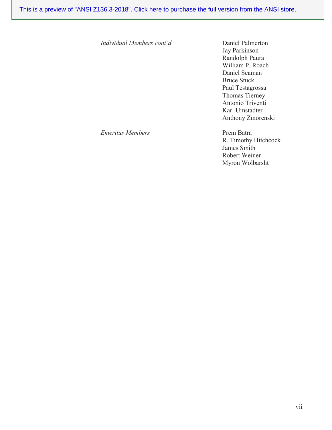*Individual Members cont'd* Daniel Palmerton

Jay Parkinson Randolph Paura William P. Roach Daniel Seaman Bruce Stuck Paul Testagrossa Thomas Tierney Antonio Triventi Karl Umstadter Anthony Zmorenski

*Emeritus Members* **322 Prem Batra** 

R. Timothy Hitchcock James Smith Robert Weiner Myron Wolbarsht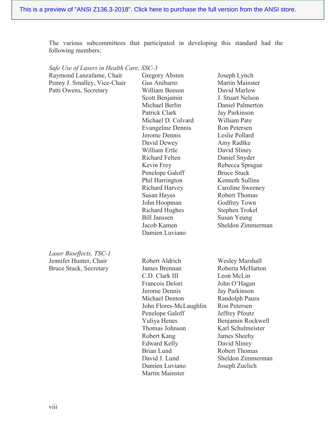The various subcommittees that participated in developing this standard had the following members:

| Safe Use of Lasers in Health Care, SSC-3 |                               |                                   |
|------------------------------------------|-------------------------------|-----------------------------------|
| Raymond Lanzafame, Chair                 | Gregory Absten                | Joseph Lynch                      |
| Penny J. Smalley, Vice-Chair             | Gus Anibarro                  | <b>Martin Mainster</b>            |
| Patti Owens, Secretary                   | William Beeson                | David Marlow                      |
|                                          | Scott Benjamin                | J. Stuart Nelson                  |
|                                          | Michael Berlin                | Daniel Palmerton                  |
|                                          | Patrick Clark                 | Jay Parkinson                     |
|                                          | Michael D. Colvard            | William Pate                      |
|                                          | <b>Evangeline Dennis</b>      | Ron Petersen                      |
|                                          | Jerome Dennis                 | Leslie Pollard                    |
|                                          | David Dewey                   | Amy Radtke                        |
|                                          | William Ertle                 | David Sliney                      |
|                                          | <b>Richard Felten</b>         | Daniel Snyder                     |
|                                          | Kevin Frey                    | Rebecca Sprague                   |
|                                          | Penelope Galoff               | <b>Bruce Stuck</b>                |
|                                          | Phil Harrington               | Kenneth Sullins                   |
|                                          | <b>Richard Harvey</b>         | Caroline Sweeney                  |
|                                          | Susan Hayes                   | <b>Robert Thomas</b>              |
|                                          | John Hoopman                  | Godfrey Town                      |
|                                          | <b>Richard Hughes</b>         | <b>Stephen Trokel</b>             |
|                                          | <b>Bill Janssen</b>           | Susan Yeung                       |
|                                          | Jacob Kamen                   | Sheldon Zimmerman                 |
|                                          | Damien Luviano                |                                   |
|                                          |                               |                                   |
| Laser Bioeffects, TSC-1                  |                               |                                   |
| Jennifer Hunter, Chair                   | Robert Aldrich                | <b>Wesley Marshall</b>            |
| <b>Bruce Stuck, Secretary</b>            | James Brennan                 | Roberta McHatton                  |
|                                          | C.D. Clark III                | Leon McLin                        |
|                                          | Francois Delori               | John O'Hagan                      |
|                                          | Jerome Dennis                 | Jay Parkinson                     |
|                                          | Michael Denton                | Randolph Paura                    |
|                                          |                               |                                   |
|                                          |                               |                                   |
|                                          | John Flores-McLaughlin        | Ron Petersen                      |
|                                          | Penelope Galoff               | Jeffrey Pfoutz                    |
|                                          | Yuliya Henes                  | Benjamin Rockwell                 |
|                                          | Thomas Johnson<br>Robert Kang | Karl Schulmeister<br>James Sheehy |

Brian Lund

David J. Lund Damien Luviano

Martin Mainster

Robert Thomas Sheldon Zimmerman

Joseph Zuclich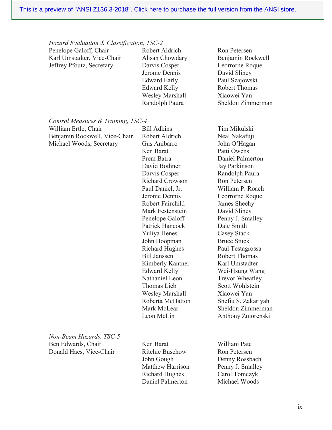Hazard Evaluation & Classification, TSC-2

| Penelope Galoff, Chair     | Robert Aldrich         | Ron Petersen         |
|----------------------------|------------------------|----------------------|
| Karl Umstadter, Vice-Chair | Ahsan Chowdary         | Benjamin Rockwell    |
| Jeffrey Pfoutz, Secretary  | Darvis Cosper          | Leorrorne Roque      |
|                            | Jerome Dennis          | David Sliney         |
|                            | <b>Edward Early</b>    | Paul Szajowski       |
|                            | <b>Edward Kelly</b>    | <b>Robert Thomas</b> |
|                            | <b>Wesley Marshall</b> | Xiaowei Yan          |
|                            | Randolph Paura         | Sheldon Zimmerman    |
|                            |                        |                      |

Control Measures & Training, TSC-4

| William Ertle, Chair          |
|-------------------------------|
| Benjamin Rockwell, Vice-Chair |
| Michael Woods, Secretary      |

**Bill Adkins** Robert Aldrich Gus Anibarro Ken Barat Prem Batra David Bothner Darvis Cosper **Richard Crowson** Paul Daniel, Jr. Jerome Dennis Robert Fairchild Mark Festenstein Penelope Galoff Patrick Hancock Yuliya Henes John Hoopman **Richard Hughes Bill Janssen** Kimberly Kantner **Edward Kelly** Nathaniel Leon Thomas Lieb **Wesley Marshall** Roberta McHatton Mark McLear Leon McLin

Tim Mikulski Neal Nakafuji John O'Hagan Patti Owens Daniel Palmerton Jay Parkinson Randolph Paura Ron Petersen William P. Roach Leorrorne Roque James Sheehy David Sliney Penny J. Smalley Dale Smith **Casey Stack Bruce Stuck** Paul Testagrossa **Robert Thomas** Karl Umstadter Wei-Hsung Wang **Trevor Wheatley** Scott Wohlstein Xiaowei Yan Shefiu S. Zakariyah Sheldon Zimmerman Anthony Zmorenski

Non-Beam Hazards, TSC-5 Ben Edwards, Chair Donald Haes, Vice-Chair

Ken Barat Ritchie Buschow John Gough Matthew Harrison **Richard Hughes** Daniel Palmerton

William Pate Ron Petersen Denny Rossbach Penny J. Smalley Carol Tomczyk Michael Woods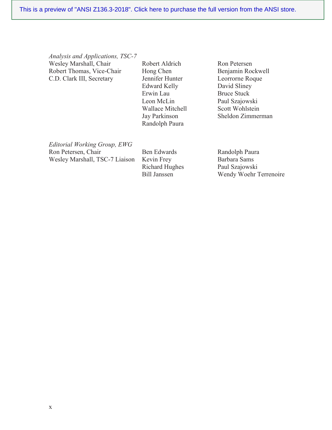*Analysis and Applications, TSC-7* Wesley Marshall, Chair Robert Thomas, Vice-Chair C.D. Clark III, Secretary

Robert Aldrich Hong Chen Jennifer Hunter Edward Kelly Erwin Lau Leon McLin Wallace Mitchell Jay Parkinson Randolph Paura

Ron Petersen Benjamin Rockwell Leorrorne Roque David Sliney Bruce Stuck Paul Szajowski Scott Wohlstein Sheldon Zimmerman

 $E$ ditorial Working Group,  $EWG$ Ron Petersen, Chair Wesley Marshall, TSC-7 Liaison

Ben Edwards Kevin Frey Richard Hughes Bill Janssen

Randolph Paura Barbara Sams Paul Szajowski Wendy Woehr Terrenoire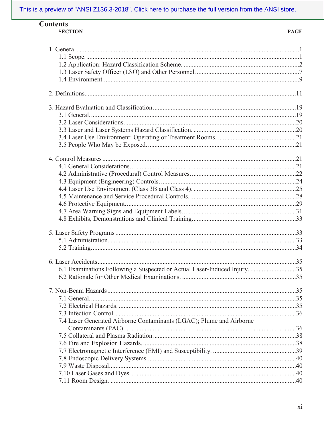| <b>Contents</b> |
|-----------------|
| <b>SECTION</b>  |

| 6.1 Examinations Following a Suspected or Actual Laser-Induced Injury. 35 |  |
|---------------------------------------------------------------------------|--|
|                                                                           |  |
|                                                                           |  |
|                                                                           |  |
|                                                                           |  |
|                                                                           |  |
|                                                                           |  |
| 7.4 Laser Generated Airborne Contaminants (LGAC); Plume and Airborne      |  |
|                                                                           |  |
|                                                                           |  |
|                                                                           |  |
|                                                                           |  |
|                                                                           |  |
|                                                                           |  |
|                                                                           |  |
|                                                                           |  |
|                                                                           |  |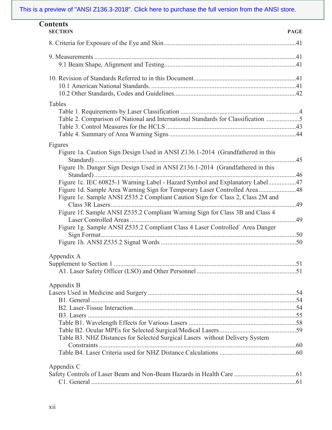| <b>Contents</b><br><b>SECTION</b>                                                | <b>PAGE</b> |
|----------------------------------------------------------------------------------|-------------|
|                                                                                  |             |
|                                                                                  |             |
|                                                                                  |             |
|                                                                                  |             |
|                                                                                  |             |
|                                                                                  |             |
| Tables                                                                           |             |
| Table 2. Comparison of National and International Standards for Classification 5 |             |
|                                                                                  |             |
|                                                                                  |             |
| Figures                                                                          |             |
| Figure 1a. Caution Sign Design Used in ANSI Z136.1-2014 (Grandfathered in this   |             |
| Figure 1b. Danger Sign Design Used in ANSI Z136.1-2014 (Grandfathered in this    |             |
| Figure 1c. IEC 60825-1 Warning Label - Hazard Symbol and Explanatory Label47     |             |
| Figure 1d. Sample Area Warning Sign for Temporary Laser Controlled Area48        |             |
| Figure 1e. Sample ANSI Z535.2 Compliant Caution Sign for Class 2, Class 2M and   |             |
| Figure 1f. Sample ANSI Z535.2 Compliant Warning Sign for Class 3B and Class 4    |             |
| Figure 1g. Sample ANSI Z535.2 Compliant Class 4 Laser Controlled' Area Danger    |             |
|                                                                                  |             |
| Appendix A                                                                       |             |
|                                                                                  |             |
|                                                                                  |             |
| Appendix B                                                                       |             |
|                                                                                  |             |
|                                                                                  |             |
|                                                                                  |             |
|                                                                                  |             |
|                                                                                  |             |
| Table B3. NHZ Distances for Selected Surgical Lasers without Delivery System     |             |
|                                                                                  |             |
|                                                                                  |             |
| Appendix C                                                                       |             |
|                                                                                  |             |
|                                                                                  |             |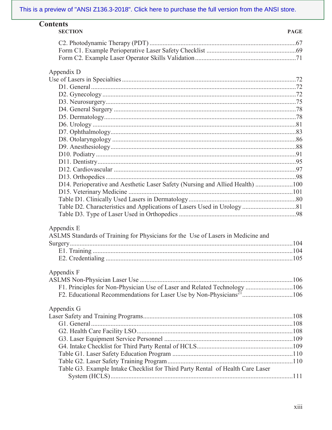| <b>Contents</b><br><b>SECTION</b>                                                 | <b>PAGE</b> |
|-----------------------------------------------------------------------------------|-------------|
|                                                                                   |             |
|                                                                                   |             |
|                                                                                   |             |
| Appendix D                                                                        |             |
|                                                                                   |             |
|                                                                                   |             |
|                                                                                   |             |
|                                                                                   |             |
|                                                                                   |             |
|                                                                                   |             |
|                                                                                   |             |
|                                                                                   |             |
|                                                                                   |             |
|                                                                                   |             |
|                                                                                   |             |
|                                                                                   |             |
|                                                                                   |             |
|                                                                                   |             |
| D14. Perioperative and Aesthetic Laser Safety (Nursing and Allied Health) 100     |             |
|                                                                                   |             |
|                                                                                   |             |
|                                                                                   |             |
|                                                                                   |             |
| Appendix E                                                                        |             |
| ASLMS Standards of Training for Physicians for the Use of Lasers in Medicine and  |             |
|                                                                                   |             |
|                                                                                   |             |
|                                                                                   |             |
| Appendix F                                                                        |             |
|                                                                                   |             |
| F1. Principles for Non-Physician Use of Laser and Related Technology 106          |             |
| F2. Educational Recommendations for Laser Use by Non-Physicians <sup>21</sup> 106 |             |
| Appendix G                                                                        |             |
|                                                                                   |             |
|                                                                                   |             |
|                                                                                   |             |
|                                                                                   |             |
|                                                                                   |             |
|                                                                                   |             |
|                                                                                   |             |
| Table G3. Example Intake Checklist for Third Party Rental of Health Care Laser    |             |
|                                                                                   |             |